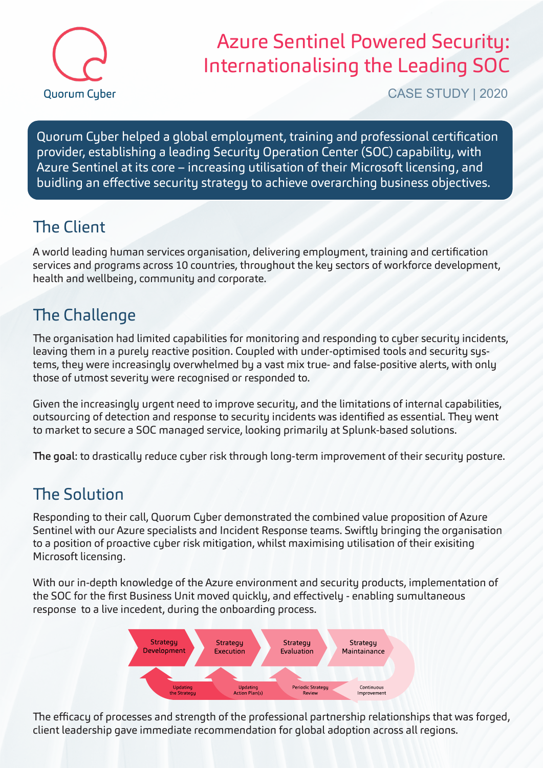

# Azure Sentinel Powered Security: Internationalising the Leading SOC

CASE STUDY | 2020

Quorum Cyber helped a global employment, training and professional certification provider, establishing a leading Security Operation Center (SOC) capability, with Azure Sentinel at its core – increasing utilisation of their Microsoft licensing, and buidling an effective security strategy to achieve overarching business objectives.

### The Client

A world leading human services organisation, delivering employment, training and certification services and programs across 10 countries, throughout the key sectors of workforce development, health and wellbeing, community and corporate.

## The Challenge

The organisation had limited capabilities for monitoring and responding to cyber security incidents, leaving them in a purely reactive position. Coupled with under-optimised tools and security systems, they were increasingly overwhelmed by a vast mix true- and false-positive alerts, with only those of utmost severity were recognised or responded to.

Given the increasingly urgent need to improve security, and the limitations of internal capabilities, outsourcing of detection and response to security incidents was identified as essential. They went to market to secure a SOC managed service, looking primarily at Splunk-based solutions.

The goal: to drastically reduce cyber risk through long-term improvement of their security posture.

### The Solution

Responding to their call, Quorum Cyber demonstrated the combined value proposition of Azure Sentinel with our Azure specialists and Incident Response teams. Swiftly bringing the organisation to a position of proactive cyber risk mitigation, whilst maximising utilisation of their exisiting Microsoft licensing.

With our in-depth knowledge of the Azure environment and security products, implementation of the SOC for the first Business Unit moved quickly, and effectively - enabling sumultaneous response to a live incedent, during the onboarding process.



The efficacy of processes and strength of the professional partnership relationships that was forged, client leadership gave immediate recommendation for global adoption across all regions.